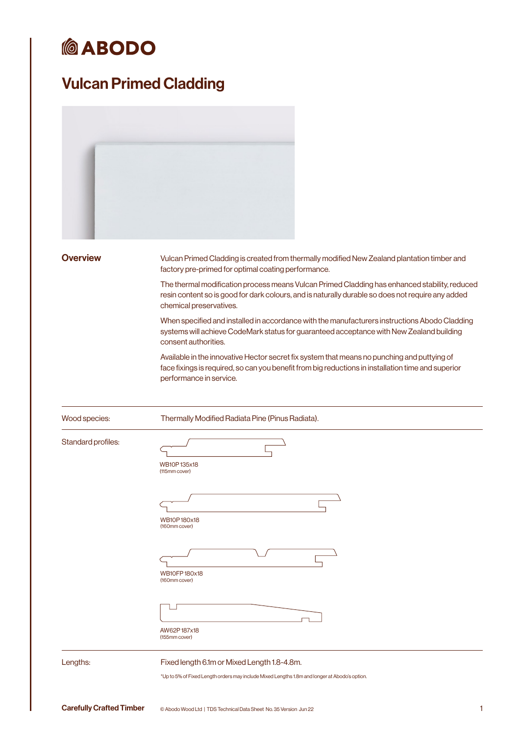# **@ABODO**

## Vulcan Primed Cladding

| <b>Overview</b>    | Vulcan Primed Cladding is created from thermally modified New Zealand plantation timber and<br>factory pre-primed for optimal coating performance.                                                                            |
|--------------------|-------------------------------------------------------------------------------------------------------------------------------------------------------------------------------------------------------------------------------|
|                    | The thermal modification process means Vulcan Primed Cladding has enhanced stability, reduced<br>resin content so is good for dark colours, and is naturally durable so does not require any added<br>chemical preservatives. |
|                    | When specified and installed in accordance with the manufacturers instructions Abodo Cladding<br>systems will achieve CodeMark status for guaranteed acceptance with New Zealand building<br>consent authorities.             |
|                    | Available in the innovative Hector secret fix system that means no punching and puttying of<br>face fixings is required, so can you benefit from big reductions in installation time and superior<br>performance in service.  |
| Wood species:      | Thermally Modified Radiata Pine (Pinus Radiata).                                                                                                                                                                              |
| Standard profiles: |                                                                                                                                                                                                                               |
|                    | WB10P135x18<br>(115mm cover)                                                                                                                                                                                                  |
|                    |                                                                                                                                                                                                                               |
|                    | WB10P180x18                                                                                                                                                                                                                   |
|                    | (160mm cover)                                                                                                                                                                                                                 |
|                    |                                                                                                                                                                                                                               |
|                    | <b>WB10FP180x18</b><br>(160mm cover)                                                                                                                                                                                          |
|                    |                                                                                                                                                                                                                               |
|                    | AW62P187x18<br>(155mm cover)                                                                                                                                                                                                  |
| Lengths:           | Fixed length 6.1m or Mixed Length 1.8-4.8m.                                                                                                                                                                                   |
|                    | *Up to 5% of Fixed Length orders may include Mixed Lengths 1.8m and longer at Abodo's option.                                                                                                                                 |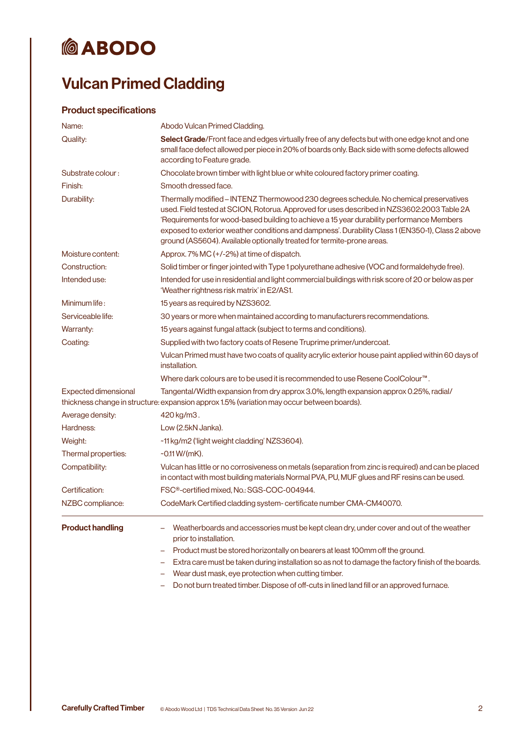# **@ABODO**

## Vulcan Primed Cladding

### Product specifications

| Name:                   | Abodo Vulcan Primed Cladding.                                                                                                                                                                                                                                                                                                                                                                                                                                    |
|-------------------------|------------------------------------------------------------------------------------------------------------------------------------------------------------------------------------------------------------------------------------------------------------------------------------------------------------------------------------------------------------------------------------------------------------------------------------------------------------------|
| Quality:                | Select Grade/Front face and edges virtually free of any defects but with one edge knot and one<br>small face defect allowed per piece in 20% of boards only. Back side with some defects allowed<br>according to Feature grade.                                                                                                                                                                                                                                  |
| Substrate colour:       | Chocolate brown timber with light blue or white coloured factory primer coating.                                                                                                                                                                                                                                                                                                                                                                                 |
| Finish:                 | Smooth dressed face.                                                                                                                                                                                                                                                                                                                                                                                                                                             |
| Durability:             | Thermally modified - INTENZ Thermowood 230 degrees schedule. No chemical preservatives<br>used. Field tested at SCION, Rotorua. Approved for uses described in NZS3602:2003 Table 2A<br>'Requirements for wood-based building to achieve a 15 year durability performance Members<br>exposed to exterior weather conditions and dampness'. Durability Class 1 (EN350-1), Class 2 above<br>ground (AS5604). Available optionally treated for termite-prone areas. |
| Moisture content:       | Approx. 7% MC (+/-2%) at time of dispatch.                                                                                                                                                                                                                                                                                                                                                                                                                       |
| Construction:           | Solid timber or finger jointed with Type 1 polyurethane adhesive (VOC and formaldehyde free).                                                                                                                                                                                                                                                                                                                                                                    |
| Intended use:           | Intended for use in residential and light commercial buildings with risk score of 20 or below as per<br>'Weather rightness risk matrix' in E2/AS1.                                                                                                                                                                                                                                                                                                               |
| Minimum life:           | 15 years as required by NZS3602.                                                                                                                                                                                                                                                                                                                                                                                                                                 |
| Serviceable life:       | 30 years or more when maintained according to manufacturers recommendations.                                                                                                                                                                                                                                                                                                                                                                                     |
| Warranty:               | 15 years against fungal attack (subject to terms and conditions).                                                                                                                                                                                                                                                                                                                                                                                                |
| Coating:                | Supplied with two factory coats of Resene Truprime primer/undercoat.                                                                                                                                                                                                                                                                                                                                                                                             |
|                         | Vulcan Primed must have two coats of quality acrylic exterior house paint applied within 60 days of<br>installation.                                                                                                                                                                                                                                                                                                                                             |
|                         | Where dark colours are to be used it is recommended to use Resene CoolColour™.                                                                                                                                                                                                                                                                                                                                                                                   |
| Expected dimensional    | Tangental/Width expansion from dry approx 3.0%, length expansion approx 0.25%, radial/<br>thickness change in structure: expansion approx 1.5% (variation may occur between boards).                                                                                                                                                                                                                                                                             |
| Average density:        | 420 kg/m3.                                                                                                                                                                                                                                                                                                                                                                                                                                                       |
| Hardness:               | Low (2.5kN Janka).                                                                                                                                                                                                                                                                                                                                                                                                                                               |
| Weight:                 | ~11 kg/m2 ('light weight cladding' NZS3604).                                                                                                                                                                                                                                                                                                                                                                                                                     |
| Thermal properties:     | $-0.11 W/(mK)$ .                                                                                                                                                                                                                                                                                                                                                                                                                                                 |
| Compatibility:          | Vulcan has little or no corrosiveness on metals (separation from zinc is required) and can be placed<br>in contact with most building materials Normal PVA, PU, MUF glues and RF resins can be used.                                                                                                                                                                                                                                                             |
| Certification:          | FSC <sup>®</sup> -certified mixed, No.: SGS-COC-004944.                                                                                                                                                                                                                                                                                                                                                                                                          |
| NZBC compliance:        | CodeMark Certified cladding system-certificate number CMA-CM40070.                                                                                                                                                                                                                                                                                                                                                                                               |
| <b>Product handling</b> | Weatherboards and accessories must be kept clean dry, under cover and out of the weather<br>prior to installation.                                                                                                                                                                                                                                                                                                                                               |
|                         | Product must be stored horizontally on bearers at least 100mm off the ground.                                                                                                                                                                                                                                                                                                                                                                                    |
|                         | Extra care must be taken during installation so as not to damage the factory finish of the boards.                                                                                                                                                                                                                                                                                                                                                               |
|                         | Wear dust mask, eye protection when cutting timber.                                                                                                                                                                                                                                                                                                                                                                                                              |
|                         | Do not burn treated timber. Dispose of off-cuts in lined land fill or an approved furnace.                                                                                                                                                                                                                                                                                                                                                                       |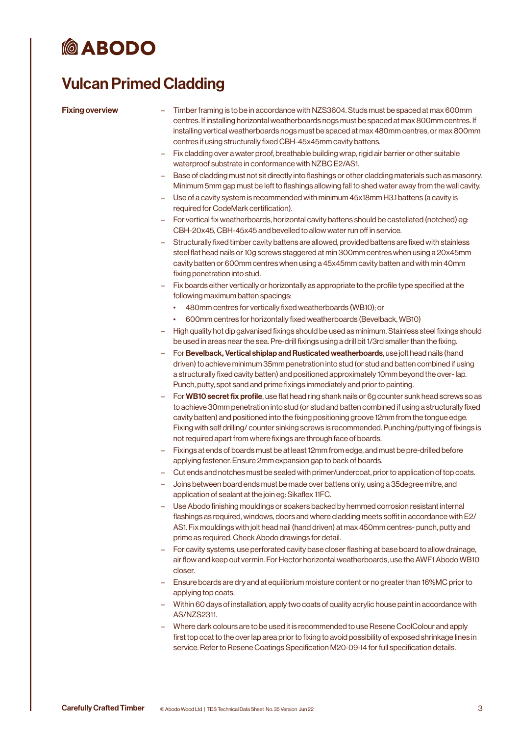# **@ABODO**

### Vulcan Primed Cladding

- Fixing overview Timber framing is to be in accordance with NZS3604. Studs must be spaced at max 600mm centres. If installing horizontal weatherboards nogs must be spaced at max 800mm centres. If installing vertical weatherboards nogs must be spaced at max 480mm centres, or max 800mm centres if using structurally fixed CBH-45x45mm cavity battens.
	- Fix cladding over a water proof, breathable building wrap, rigid air barrier or other suitable waterproof substrate in conformance with NZBC E2/AS1.
	- Base of cladding must not sit directly into flashings or other cladding materials such as masonry. Minimum 5mm gap must be left to flashings allowing fall to shed water away from the wall cavity.
	- Use of a cavity system is recommended with minimum 45x18mm H3.1 battens (a cavity is required for CodeMark certification).
	- For vertical fix weatherboards, horizontal cavity battens should be castellated (notched) eg: CBH-20x45, CBH-45x45 and bevelled to allow water run off in service.
	- Structurally fixed timber cavity battens are allowed, provided battens are fixed with stainless steel flat head nails or 10g screws staggered at min 300mm centres when using a 20x45mm cavity batten or 600mm centres when using a 45x45mm cavity batten and with min 40mm fixing penetration into stud.
	- Fix boards either vertically or horizontally as appropriate to the profile type specified at the following maximum batten spacings:
		- 480mm centres for vertically fixed weatherboards (WB10); or
		- 600mm centres for horizontally fixed weatherboards (Bevelback, WB10)
	- High quality hot dip galvanised fixings should be used as minimum. Stainless steel fixings should be used in areas near the sea. Pre-drill fixings using a drill bit 1/3rd smaller than the fixing.
	- For Bevelback, Vertical shiplap and Rusticated weatherboards, use jolt head nails (hand driven) to achieve minimum 35mm penetration into stud (or stud and batten combined if using a structurally fixed cavity batten) and positioned approximately 10mm beyond the over- lap. Punch, putty, spot sand and prime fixings immediately and prior to painting.
	- For WB10 secret fix profile, use flat head ring shank nails or 6g counter sunk head screws so as to achieve 30mm penetration into stud (or stud and batten combined if using a structurally fixed cavity batten) and positioned into the fixing positioning groove 12mm from the tongue edge. Fixing with self drilling/ counter sinking screws is recommended. Punching/puttying of fixings is not required apart from where fixings are through face of boards.
	- Fixings at ends of boards must be at least 12mm from edge, and must be pre-drilled before applying fastener. Ensure 2mm expansion gap to back of boards.
	- Cut ends and notches must be sealed with primer/undercoat, prior to application of top coats.
	- Joins between board ends must be made over battens only, using a 35degree mitre, and application of sealant at the join eg: Sikaflex 11FC.
	- Use Abodo finishing mouldings or soakers backed by hemmed corrosion resistant internal flashings as required, windows, doors and where cladding meets soffit in accordance with E2/ AS1. Fix mouldings with jolt head nail (hand driven) at max 450mm centres- punch, putty and prime as required. Check Abodo drawings for detail.
	- For cavity systems, use perforated cavity base closer flashing at base board to allow drainage, air flow and keep out vermin. For Hector horizontal weatherboards, use the AWF1 Abodo WB10 closer.
	- Ensure boards are dry and at equilibrium moisture content or no greater than 16%MC prior to applying top coats.
	- Within 60 days of installation, apply two coats of quality acrylic house paint in accordance with AS/NZS2311.
	- Where dark colours are to be used it is recommended to use Resene CoolColour and apply first top coat to the over lap area prior to fixing to avoid possibility of exposed shrinkage lines in service. Refer to Resene Coatings Specification M20-09-14 for full specification details.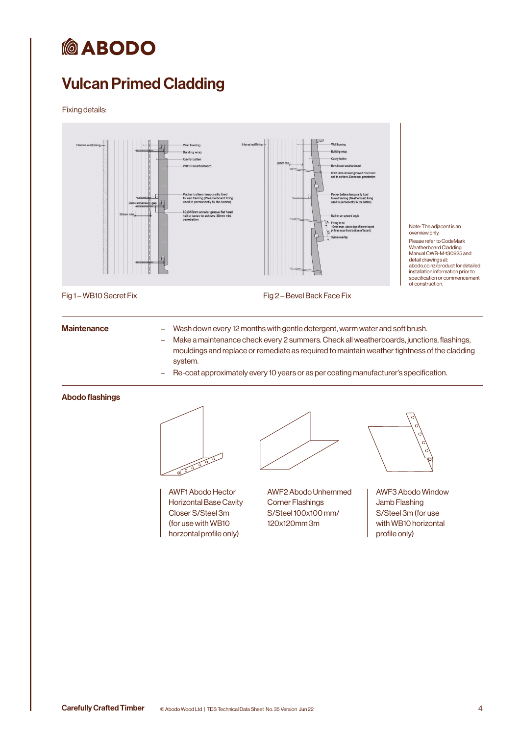# *MABODO*

## Vulcan Primed Cladding

### Fixing details:



Fig 1 – WB10 Secret Fix Fig 2 – Bevel Back Face Fix

Maintenance **Edge Hands** – Wash down every 12 months with gentle detergent, warm water and soft brush.

- Make a maintenance check every 2 summers. Check all weatherboards, junctions, flashings, mouldings and replace or remediate as required to maintain weather tightness of the cladding system.
- Re-coat approximately every 10 years or as per coating manufacturer's specification.

### Abodo flashings



AWF1 Abodo Hector Horizontal Base Cavity Closer S/Steel 3m (for use with WB10 horzontal profile only)

AWF2 Abodo Unhemmed Corner Flashings S/Steel 100x100 mm/ 120x120mm 3m



Note: The adjacent is an overview only. Please refer to CodeMark Weatherboard Cladding Manual CWB-M-130925 and detail drawings at: abodo.co.nz/product for detailed installation information prior to specification or commencement of construction.

AWF3 Abodo Window Jamb Flashing S/Steel 3m (for use with WB10 horizontal profile only)